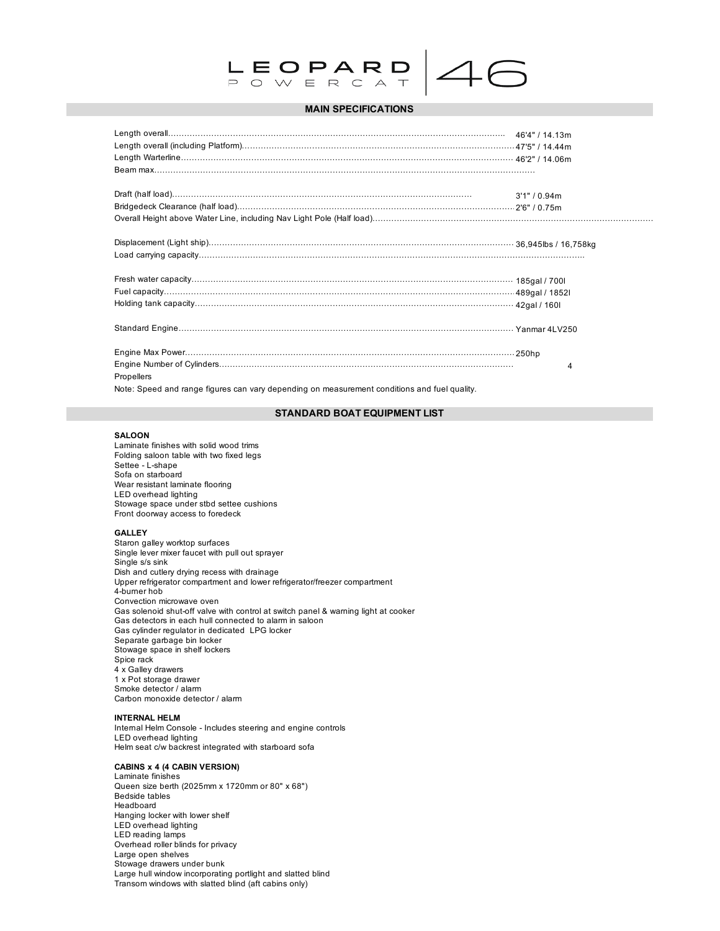

# $4($

## **MAIN SPECIFICATIONS**

|                                                                                             | 3'1" / 0.94m |
|---------------------------------------------------------------------------------------------|--------------|
|                                                                                             |              |
|                                                                                             |              |
|                                                                                             |              |
|                                                                                             |              |
|                                                                                             |              |
|                                                                                             |              |
|                                                                                             |              |
|                                                                                             |              |
|                                                                                             |              |
|                                                                                             | 4            |
| Propellers                                                                                  |              |
| Note: Speed and range figures can vany depending on measurement conditions and fuel quality |              |

#### Note: Speed and range figures can vary depending

# **STANDARD BOAT EQUIPMENT LIST**

#### **SALOON**

Laminate finishes with solid wood trims Folding saloon table with two fixed legs Settee - L-shape Sofa on starboard Wear resistant laminate flooring LED overhead lighting Stowage space under stbd settee cushions Front doorway access to foredeck

#### **GALLEY**

Staron galley worktop surfaces Single lever mixer faucet with pull out sprayer Single s/s sink Dish and cutlery drying recess with drainage Upper refrigerator compartment and lower refrigerator/freezer compartment 4-burner hob Convection microwave oven Gas solenoid shut-off valve with control at switch panel & warning light at cooker Gas detectors in each hull connected to alarm in saloon Gas cylinder regulator in dedicated LPG locker Separate garbage bin locker Stowage space in shelf lockers Spice rack 4 x Galley drawers 1 x Pot storage drawer Smoke detector / alarm Carbon monoxide detector / alarm

#### **INTERNAL HELM**

Internal Helm Console - Includes steering and engine controls LED overhead lighting Helm seat c/w backrest integrated with starboard sofa

#### **CABINS x 4 (4 CABIN VERSION)**

Laminate finishes Queen size berth (2025mm x 1720mm or 80" x 68") Bedside tables Headboard Hanging locker with lower shelf LED overhead lighting LED reading lamps Overhead roller blinds for privacy Large open shelves Stowage drawers under bunk Large hull window incorporating portlight and slatted blind Transom windows with slatted blind (aft cabins only)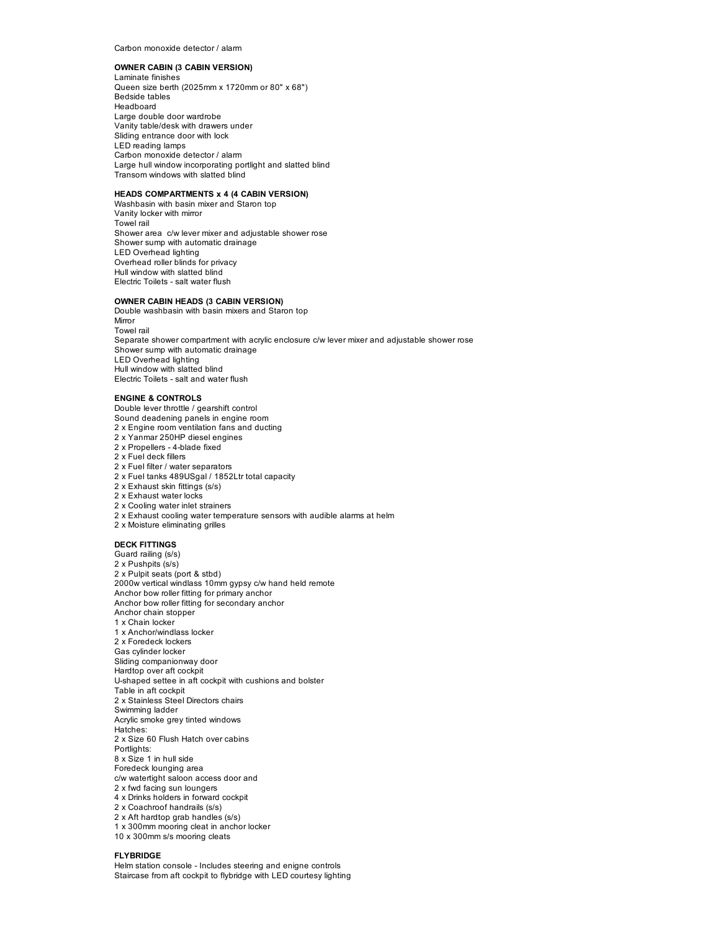Carbon monoxide detector / alarm

#### **OWNER CABIN (3 CABIN VERSION)**

Laminate finishes Queen size berth (2025mm x 1720mm or 80" x 68") Bedside tables Headboard Large double door wardrobe Vanity table/desk with drawers under Sliding entrance door with lock LED reading lamps Carbon monoxide detector / alarm Large hull window incorporating portlight and slatted blind Transom windows with slatted blind

#### **HEADS COMPARTMENTS x 4 (4 CABIN VERSION)**

Washbasin with basin mixer and Staron top Vanity locker with mirror Towel rail Shower area c/w lever mixer and adjustable shower rose Shower sump with automatic drainage LED Overhead lighting Overhead roller blinds for privacy Hull window with slatted blind Electric Toilets - salt water flush

#### **OWNER CABIN HEADS (3 CABIN VERSION)**

Sound deadening panels in engine room 2 x Engine room ventilation fans and ducting 2 x Yanmar 250HP diesel engines 2 x Propellers - 4-blade fixed 2 x Fuel deck fillers

Double washbasin with basin mixers and Staron top Mirror Towel rail Separate shower compartment with acrylic enclosure c/w lever mixer and adjustable shower rose Shower sump with automatic drainage LED Overhead lighting Hull window with slatted blind Electric Toilets - salt and water flush

#### **ENGINE & CONTROLS** Double lever throttle / gearshift control

2 x Fuel filter / water separators

2 x Fuel tanks 489USgal / 1852Ltr total capacity 2 x Exhaust skin fittings (s/s) 2 x Exhaust water locks 2 x Cooling water inlet strainers 2 x Exhaust cooling water temperature sensors with audible alarms at helm 2 x Moisture eliminating grilles **DECK FITTINGS** Guard railing (s/s) 2 x Pushpits (s/s) 2 x Pulpit seats (port & stbd) 2000w vertical windlass 10mm gypsy c/w hand held remote Anchor bow roller fitting for primary anchor Anchor bow roller fitting for secondary anchor Anchor chain stopper 1 x Chain locker 1 x Anchor/windlass locker 2 x Foredeck lockers Gas cylinder locker Sliding companionway door Hardtop over aft cockpit U-shaped settee in aft cockpit with cushions and bolster Table in aft cockpit 2 x Stainless Steel Directors chairs Swimming ladder Acrylic smoke grey tinted windows Hatches: 2 x Size 60 Flush Hatch over cabins Portlights: 8 x Size 1 in hull side Foredeck lounging area c/w watertight saloon access door and 2 x fwd facing sun loungers 4 x Drinks holders in forward cockpit 2 x Coachroof handrails (s/s) 2 x Aft hardtop grab handles (s/s) 1 x 300mm mooring cleat in anchor locker 10 x 300mm s/s mooring cleats

#### **FLYBRIDGE**

Helm station console - Includes steering and enigne controls Staircase from aft cockpit to flybridge with LED courtesy lighting